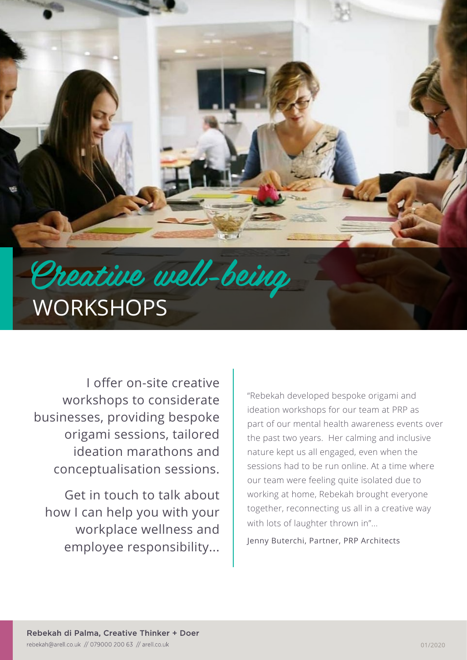

I offer on-site creative workshops to considerate businesses, providing bespoke origami sessions, tailored ideation marathons and conceptualisation sessions.

Get in touch to talk about how I can help you with your workplace wellness and employee responsibility...

"Rebekah developed bespoke origami and ideation workshops for our team at PRP as part of our mental health awareness events over the past two years. Her calming and inclusive nature kept us all engaged, even when the sessions had to be run online. At a time where our team were feeling quite isolated due to working at home, Rebekah brought everyone together, reconnecting us all in a creative way with lots of laughter thrown in"...

Jenny Buterchi, Partner, PRP Architects